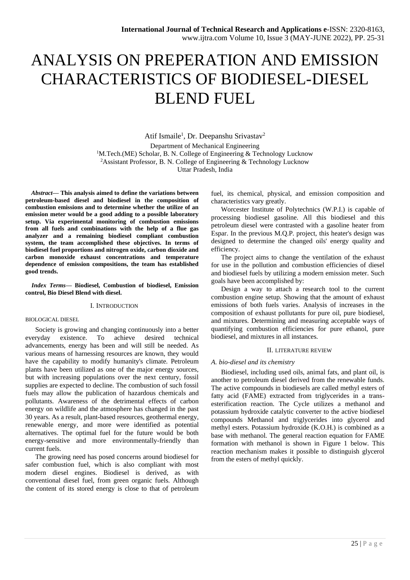# ANALYSIS ON PREPERATION AND EMISSION CHARACTERISTICS OF BIODIESEL-DIESEL BLEND FUEL

Atif Ismaile<sup>1</sup>, Dr. Deepanshu Srivastav<sup>2</sup> Department of Mechanical Engineering <sup>1</sup>M.Tech.(ME) Scholar, B. N. College of Engineering & Technology Lucknow <sup>2</sup>Assistant Professor, B. N. College of Engineering & Technology Lucknow Uttar Pradesh, India

*Abstract***— This analysis aimed to define the variations between petroleum-based diesel and biodiesel in the composition of combustion emissions and to determine whether the utilize of an emission meter would be a good adding to a possible laboratory setup. Via experimental monitoring of combustion emissions from all fuels and combinations with the help of a flue gas analyzer and a remaining biodiesel compliant combustion system, the team accomplished these objectives. In terms of biodiesel fuel proportions and nitrogen oxide, carbon dioxide and carbon monoxide exhaust concentrations and temperature dependence of emission compositions, the team has established good trends.**

*Index Terms***— Biodiesel, Combustion of biodiesel, Emission control, Bio Diesel Blend with diesel.**

#### I. INTRODUCTION

#### BIOLOGICAL DIESEL

Society is growing and changing continuously into a better everyday existence. To achieve desired technical advancements, energy has been and will still be needed. As various means of harnessing resources are known, they would have the capability to modify humanity's climate. Petroleum plants have been utilized as one of the major energy sources, but with increasing populations over the next century, fossil supplies are expected to decline. The combustion of such fossil fuels may allow the publication of hazardous chemicals and pollutants. Awareness of the detrimental effects of carbon energy on wildlife and the atmosphere has changed in the past 30 years. As a result, plant-based resources, geothermal energy, renewable energy, and more were identified as potential alternatives. The optimal fuel for the future would be both energy-sensitive and more environmentally-friendly than current fuels.

The growing need has posed concerns around biodiesel for safer combustion fuel, which is also compliant with most modern diesel engines. Biodiesel is derived, as with conventional diesel fuel, from green organic fuels. Although the content of its stored energy is close to that of petroleum

fuel, its chemical, physical, and emission composition and characteristics vary greatly.

Worcester Institute of Polytechnics (W.P.I.) is capable of processing biodiesel gasoline. All this biodiesel and this petroleum diesel were contrasted with a gasoline heater from Espar. In the previous M.Q.P. project, this heater's design was designed to determine the changed oils' energy quality and efficiency.

The project aims to change the ventilation of the exhaust for use in the pollution and combustion efficiencies of diesel and biodiesel fuels by utilizing a modern emission meter. Such goals have been accomplished by:

Design a way to attach a research tool to the current combustion engine setup. Showing that the amount of exhaust emissions of both fuels varies. Analysis of increases in the composition of exhaust pollutants for pure oil, pure biodiesel, and mixtures. Determining and measuring acceptable ways of quantifying combustion efficiencies for pure ethanol, pure biodiesel, and mixtures in all instances.

# II. LITERATURE REVIEW

## *A. bio-diesel and its chemistry*

Biodiesel, including used oils, animal fats, and plant oil, is another to petroleum diesel derived from the renewable funds. The active compounds in biodiesels are called methyl esters of fatty acid (FAME) extracted from triglycerides in a transesterification reaction. The Cycle utilizes a methanol and potassium hydroxide catalytic converter to the active biodiesel compounds Methanol and triglycerides into glycerol and methyl esters. Potassium hydroxide (K.O.H.) is combined as a base with methanol. The general reaction equation for FAME formation with methanol is shown in Figure 1 below. This reaction mechanism makes it possible to distinguish glycerol from the esters of methyl quickly.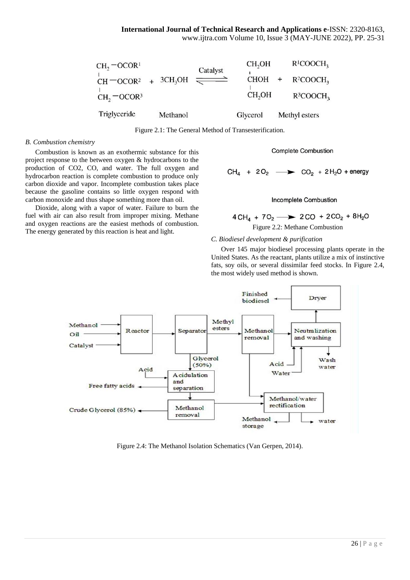| Triglyceride                           | Methanol |          | Glycerol                       | Methyl esters                           |
|----------------------------------------|----------|----------|--------------------------------|-----------------------------------------|
| $CH = OCOR2 + 3CH3OH$<br>$CH2 = OCOR3$ |          | Catalyst | $CHOH +$<br>CH <sub>2</sub> OH | $R^2COOCH3$<br>$R^3$ COOCH <sub>3</sub> |
| $CH2 - OCOR1$                          |          |          | CH <sub>2</sub> OH             | $R^{1}COOCH_{3}$                        |

Figure 2.1: The General Method of Transesterification.

## *B. Combustion chemistry*

Combustion is known as an exothermic substance for this project response to the between oxygen & hydrocarbons to the production of CO2, CO, and water. The full oxygen and hydrocarbon reaction is complete combustion to produce only carbon dioxide and vapor. Incomplete combustion takes place because the gasoline contains so little oxygen respond with carbon monoxide and thus shape something more than oil.

Dioxide, along with a vapor of water. Failure to burn the fuel with air can also result from improper mixing. Methane and oxygen reactions are the easiest methods of combustion. The energy generated by this reaction is heat and light.<br>The energy generated by this reaction is heat and light.

# **Complete Combustion**

 $CH_4$  + 2O<sub>2</sub>  $\longrightarrow$  CO<sub>2</sub> + 2H<sub>2</sub>O + energy

# Incomplete Combustion

$$
4 \text{CH}_4 + 7 \text{O}_2 \longrightarrow 2 \text{CO} + 2 \text{CO}_2 + 8 \text{H}_2 \text{O}
$$

# *C. Biodiesel development & purification*

Over 145 major biodiesel processing plants operate in the United States. As the reactant, plants utilize a mix of instinctive fats, soy oils, or several dissimilar feed stocks. In Figure 2.4, the most widely used method is shown.



Figure 2.4: The Methanol Isolation Schematics (Van Gerpen, 2014).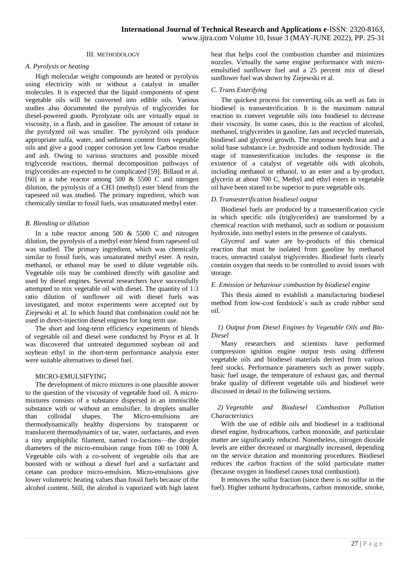# III. METHODOLOGY

## *A. Pyrolysis or heating*

High molecular weight compounds are heated or pyrolysis using electricity with or without a catalyst in smaller molecules. It is expected that the liquid components of spent vegetable oils will be converted into edible oils. Various studies also documented the pyrolysis of triglycerides for diesel-powered goods. Pyrolyzate oils are virtually equal in viscosity, in a flash, and in gasoline. The amount of cetane in the pyrolyzed oil was smaller. The pyrolyzed oils produce appropriate sulfa, water, and sediment content from vegetable oils and give a good copper corrosion yet low Carbon residue and ash. Owing to various structures and possible mixed triglyceride reactions, thermal decomposition pathways of triglycerides are expected to be complicated [59]. Billaud et al. [60] in a tube reactor among  $500 \& 5500 \text{ C}$  and nitrogen dilution, the pyrolysis of a CH3 (methyl) ester blend from the rapeseed oil was studied. The primary ingredient, which was chemically similar to fossil fuels, was unsaturated methyl ester.

## *B. Blending or dilution*

In a tube reactor among  $500 \& 5500 \text{ C}$  and nitrogen dilution, the pyrolysis of a methyl ester blend from rapeseed oil was studied. The primary ingredient, which was chemically similar to fossil fuels, was unsaturated methyl ester. A resin, methanol, or ethanol may be used to dilute vegetable oils. Vegetable oils may be combined directly with gasoline and used by diesel engines. Several researchers have successfully attempted to mix vegetable oil with diesel. The quantity of 1:3 ratio dilution of sunflower oil with diesel fuels was investigated, and motor experiments were accepted out by Ziejewski et al. In which found that combination could not be used in direct-injection diesel engines for long term use.

The short and long-term efficiency experiments of blends of vegetable oil and diesel were conducted by Pryor et al. It was discovered that untreated degummed soybean oil and soybean ethyl in the short-term performance analysis ester were suitable alternatives to diesel fuel.

# MICRO-EMULSIFYING

The development of micro mixtures is one plausible answer to the question of the viscosity of vegetable food oil. A micromixtures consists of a substance dispersed in an immiscible substance with or without an emulsifier. In droplets smaller than colloidal shapes. The Micro-emulsions are thermodynamically healthy dispersions by transparent or translucent thermodynamics of tar, water, surfactants, and even a tiny amphiphilic filament, named co-factions—the droplet diameters of the micro-emulsion range from 100 to 1000 Å. Vegetable oils with a co-solvent of vegetable oils that are boosted with or without a diesel fuel and a surfactant and cetane can produce micro-emulsion. Micro-emulsions give lower volumetric heating values than fossil fuels because of the alcohol content. Still, the alcohol is vaporized with high latent

heat that helps cool the combustion chamber and minimizes nozzles. Virtually the same engine performance with microemulsified sunflower fuel and a 25 percent mix of diesel sunflower fuel was shown by Ziejewski et al.

#### *C. Trans Esterifying*

The quickest process for converting oils as well as fats in biodiesel is transesterification. It is the maximum natural reaction to convert vegetable oils into biodiesel to decrease their viscosity. In some cases, this is the reaction of alcohol, methanol, triglycerides in gasoline, fats and recycled materials, biodiesel and glycerol growth. The response needs heat and a solid base substance i.e. hydroxide and sodium hydroxide. The stage of transesterification includes the response in the existence of a catalyst of vegetable oils with alcohols, including methanol or ethanol, to an ester and a by-product, glycerin at about 700 C, Methyl and ethyl esters in vegetable oil have been stated to be superior to pure vegetable oils.

# *D. Transesterification biodiesel output*

Biodiesel fuels are produced by a transesterification cycle in which specific oils (triglycerides) are transformed by a chemical reaction with methanol, such as sodium or potassium hydroxide, into methyl esters in the presence of catalysts.

Glycerol and water are by-products of this chemical reaction that must be isolated from gasoline by methanol traces, unreacted catalyst triglycerides. Biodiesel fuels clearly contain oxygen that needs to be controlled to avoid issues with storage.

## *E. Emission or behaviour combustion by biodiesel engine*

This thesis aimed to establish a manufacturing biodiesel method from low-cost feedstock's such as crude rubber seed oil.

# *1) Output from Diesel Engines by Vegetable Oils and Bio-Diesel*

Many researchers and scientists have performed compression ignition engine output tests using different vegetable oils and biodiesel materials derived from various feed stocks. Performance parameters such as power supply, basic fuel usage, the temperature of exhaust gas, and thermal brake quality of different vegetable oils and biodiesel were discussed in detail in the following sections.

## *2) Vegetable and Biodiesel Combustion Pollution Characteristics*

With the use of edible oils and biodiesel in a traditional diesel engine, hydrocarbons, carbon monoxide, and particulate matter are significantly reduced. Nonetheless, nitrogen dioxide levels are either decreased or marginally increased, depending on the service duration and monitoring procedures. Biodiesel reduces the carbon fraction of the solid particulate matter (because oxygen in biodiesel causes total combustion).

It removes the sulfur fraction (since there is no sulfur in the fuel). Higher unburnt hydrocarbons, carbon monoxide, smoke,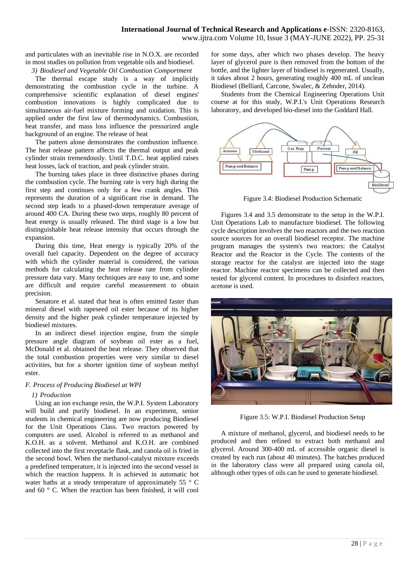and particulates with an inevitable rise in N.O.X. are recorded in most studies on pollution from vegetable oils and biodiesel.

*3) Biodiesel and Vegetable Oil Combustion Comportment*

The thermal escape study is a way of implicitly demonstrating the combustion cycle in the turbine. A comprehensive scientific explanation of diesel engines' combustion innovations is highly complicated due to simultaneous air-fuel mixture forming and oxidation. This is applied under the first law of thermodynamics. Combustion, heat transfer, and mass loss influence the pressurized angle background of an engine. The release of heat

The pattern alone demonstrates the combustion influence. The heat release pattern affects the thermal output and peak cylinder strain tremendously. Until T.D.C. heat applied raises heat losses, lack of traction, and peak cylinder strain.

The burning takes place in three distinctive phases during the combustion cycle. The burning rate is very high during the first step and continues only for a few crank angles. This represents the duration of a significant rise in demand. The second step leads to a phased-down temperature average of around 400 CA. During these two steps, roughly 80 percent of heat energy is usually released. The third stage is a low but distinguishable heat release intensity that occurs through the expansion.

During this time, Heat energy is typically 20% of the overall fuel capacity. Dependent on the degree of accuracy with which the cylinder material is considered, the various methods for calculating the heat release rate from cylinder pressure data vary. Many techniques are easy to use, and some are difficult and require careful measurement to obtain precision.

Senatore et al. stated that heat is often emitted faster than mineral diesel with rapeseed oil ester because of its higher density and the higher peak cylinder temperature injected by biodiesel mixtures.

In an indirect diesel injection engine, from the simple pressure angle diagram of soybean oil ester as a fuel, McDonald et al. obtained the heat release. They observed that the total combustion properties were very similar to diesel activities, but for a shorter ignition time of soybean methyl ester.

## *F. Process of Producing Biodiesel at WPI*

## *1) Production*

Using an ion exchange resin, the W.P.I. System Laboratory will build and purify biodiesel. In an experiment, senior students in chemical engineering are now producing Biodiesel for the Unit Operations Class. Two reactors powered by computers are used. Alcohol is referred to as methanol and K.O.H. as a solvent. Methanol and K.O.H. are combined collected into the first receptacle flask, and canola oil is fried in the second bowl. When the methanol-catalyst mixture exceeds a predefined temperature, it is injected into the second vessel in which the reaction happens. It is achieved in automatic hot water baths at a steady temperature of approximately 55 ° C and 60 ° C. When the reaction has been finished, it will cool

for some days, after which two phases develop. The heavy layer of glycerol pure is then removed from the bottom of the bottle, and the lighter layer of biodiesel is regenerated. Usually, it takes about 2 hours, generating roughly 400 mL of unclean Biodiesel (Belliard, Carcone, Swalec, & Zehnder, 2014).

Students from the Chemical Engineering Operations Unit course at for this study, W.P.I.'s Unit Operations Research laboratory, and developed bio-diesel into the Goddard Hall.



Figure 3.4: Biodiesel Production Schematic

Figures 3.4 and 3.5 demonstrate to the setup in the W.P.I. Unit Operations Lab to manufacture biodiesel. The following cycle description involves the two reactors and the two reaction source sources for an overall biodiesel receptor. The machine program manages the system's two reactors: the Catalyst Reactor and the Reactor in the Cycle. The contents of the storage reactor for the catalyst are injected into the stage reactor. Machine reactor specimens can be collected and then tested for glycerol content. In procedures to disinfect reactors, acetone is used.



Figure 3.5: W.P.I. Biodiesel Production Setup

A mixture of methanol, glycerol, and biodiesel needs to be produced and then refined to extract both methanol and glycerol. Around 300-400 mL of accessible organic diesel is created by each run (about 40 minutes). The batches produced in the laboratory class were all prepared using canola oil, although other types of oils can be used to generate biodiesel.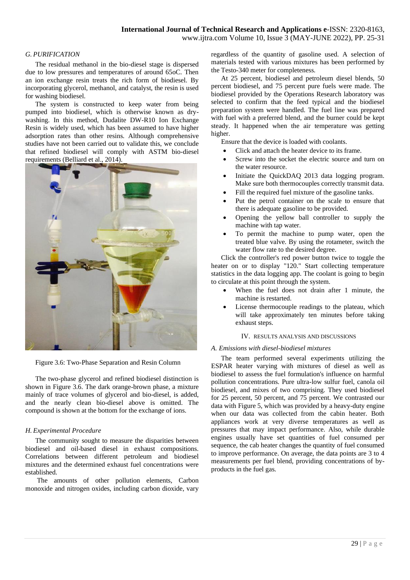# *G. PURIFICATION*

The residual methanol in the bio-diesel stage is dispersed due to low pressures and temperatures of around 65oC. Then an ion exchange resin treats the rich form of biodiesel. By incorporating glycerol, methanol, and catalyst, the resin is used for washing biodiesel.

The system is constructed to keep water from being pumped into biodiesel, which is otherwise known as drywashing. In this method, Dudalite DW-R10 Ion Exchange Resin is widely used, which has been assumed to have higher adsorption rates than other resins. Although comprehensive studies have not been carried out to validate this, we conclude that refined biodiesel will comply with ASTM bio-diesel requirements (Belliard et al., 2014).



Figure 3.6: Two-Phase Separation and Resin Column

The two-phase glycerol and refined biodiesel distinction is shown in Figure 3.6. The dark orange-brown phase, a mixture mainly of trace volumes of glycerol and bio-diesel, is added, and the nearly clean bio-diesel above is omitted. The compound is shown at the bottom for the exchange of ions.

## *H. Experimental Procedure*

The community sought to measure the disparities between biodiesel and oil-based diesel in exhaust compositions. Correlations between different petroleum and biodiesel mixtures and the determined exhaust fuel concentrations were established.

The amounts of other pollution elements, Carbon monoxide and nitrogen oxides, including carbon dioxide, vary regardless of the quantity of gasoline used. A selection of materials tested with various mixtures has been performed by the Testo-340 meter for completeness.

At 25 percent, biodiesel and petroleum diesel blends, 50 percent biodiesel, and 75 percent pure fuels were made. The biodiesel provided by the Operations Research laboratory was selected to confirm that the feed typical and the biodiesel preparation system were handled. The fuel line was prepared with fuel with a preferred blend, and the burner could be kept steady. It happened when the air temperature was getting higher.

Ensure that the device is loaded with coolants.

- Click and attach the heater device to its frame.
- Screw into the socket the electric source and turn on the water resource.
- Initiate the QuickDAQ 2013 data logging program. Make sure both thermocouples correctly transmit data.
- Fill the required fuel mixture of the gasoline tanks.
- Put the petrol container on the scale to ensure that there is adequate gasoline to be provided.
- Opening the yellow ball controller to supply the machine with tap water.
- To permit the machine to pump water, open the treated blue valve. By using the rotameter, switch the water flow rate to the desired degree.

Click the controller's red power button twice to toggle the heater on or to display "120." Start collecting temperature statistics in the data logging app. The coolant is going to begin to circulate at this point through the system.

- When the fuel does not drain after 1 minute, the machine is restarted.
- License thermocouple readings to the plateau, which will take approximately ten minutes before taking exhaust steps.

#### IV. RESULTS ANALYSIS AND DISCUSSIONS

## *A. Emissions with diesel-biodiesel mixtures*

The team performed several experiments utilizing the ESPAR heater varying with mixtures of diesel as well as biodiesel to assess the fuel formulation's influence on harmful pollution concentrations. Pure ultra-low sulfur fuel, canola oil biodiesel, and mixes of two comprising. They used biodiesel for 25 percent, 50 percent, and 75 percent. We contrasted our data with Figure 5, which was provided by a heavy-duty engine when our data was collected from the cabin heater. Both appliances work at very diverse temperatures as well as pressures that may impact performance. Also, while durable engines usually have set quantities of fuel consumed per sequence, the cab heater changes the quantity of fuel consumed to improve performance. On average, the data points are 3 to 4 measurements per fuel blend, providing concentrations of byproducts in the fuel gas.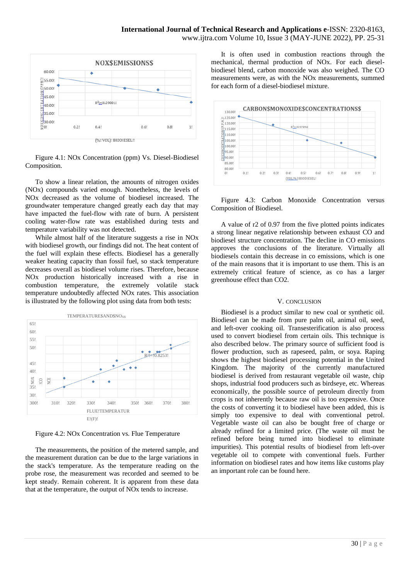

Figure 4.1: NOx Concentration (ppm) Vs. Diesel-Biodiesel Composition.

To show a linear relation, the amounts of nitrogen oxides (NOx) compounds varied enough. Nonetheless, the levels of NOx decreased as the volume of biodiesel increased. The groundwater temperature changed greatly each day that may have impacted the fuel-flow with rate of burn. A persistent cooling water-flow rate was established during tests and temperature variability was not detected.

While almost half of the literature suggests a rise in NOx with biodiesel growth, our findings did not. The heat content of the fuel will explain these effects. Biodiesel has a generally weaker heating capacity than fossil fuel, so stack temperature decreases overall as biodiesel volume rises. Therefore, because NOx production historically increased with a rise in combustion temperature, the extremely volatile stack temperature undoubtedly affected NOx rates. This association is illustrated by the following plot using data from both tests:



Figure 4.2: NOx Concentration vs. Flue Temperature

The measurements, the position of the metered sample, and the measurement duration can be due to the large variations in the stack's temperature. As the temperature reading on the probe rose, the measurement was recorded and seemed to be kept steady. Remain coherent. It is apparent from these data that at the temperature, the output of NOx tends to increase.

It is often used in combustion reactions through the mechanical, thermal production of NOx. For each dieselbiodiesel blend, carbon monoxide was also weighed. The CO measurements were, as with the NOx measurements, summed for each form of a diesel-biodiesel mixture.



Figure 4.3: Carbon Monoxide Concentration versus Composition of Biodiesel.

A value of r2 of 0.97 from the five plotted points indicates a strong linear negative relationship between exhaust CO and biodiesel structure concentration. The decline in CO emissions approves the conclusions of the literature. Virtually all biodiesels contain this decrease in co emissions, which is one of the main reasons that it is important to use them. This is an extremely critical feature of science, as co has a larger greenhouse effect than CO2.

#### V. CONCLUSION

Biodiesel is a product similar to new coal or synthetic oil. Biodiesel can be made from pure palm oil, animal oil, seed, and left-over cooking oil. Transesterification is also process used to convert biodiesel from certain oils. This technique is also described below. The primary source of sufficient food is flower production, such as rapeseed, palm, or soya. Raping shows the highest biodiesel processing potential in the United Kingdom. The majority of the currently manufactured biodiesel is derived from restaurant vegetable oil waste, chip shops, industrial food producers such as birdseye, etc. Whereas economically, the possible source of petroleum directly from crops is not inherently because raw oil is too expensive. Once the costs of converting it to biodiesel have been added, this is simply too expensive to deal with conventional petrol. Vegetable waste oil can also be bought free of charge or already refined for a limited price. (The waste oil must be refined before being turned into biodiesel to eliminate impurities). This potential results of biodiesel from left-over vegetable oil to compete with conventional fuels. Further information on biodiesel rates and how items like customs play an important role can be found here.